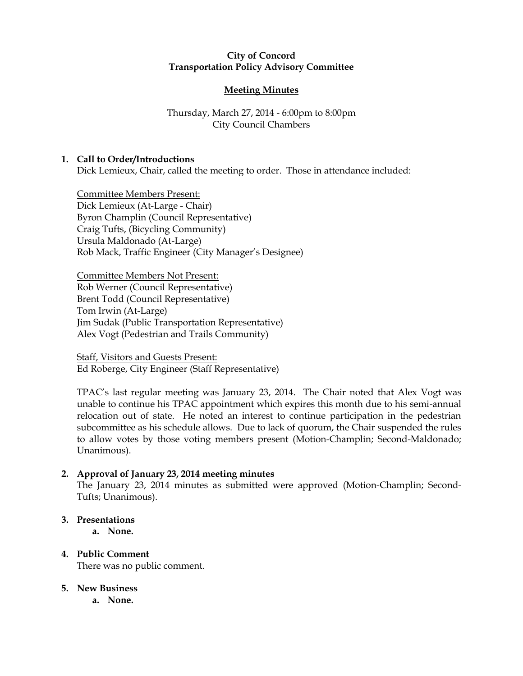## **City of Concord Transportation Policy Advisory Committee**

# **Meeting Minutes**

# Thursday, March 27, 2014 - 6:00pm to 8:00pm City Council Chambers

## **1. Call to Order/Introductions**

Dick Lemieux, Chair, called the meeting to order. Those in attendance included:

Committee Members Present: Dick Lemieux (At-Large - Chair) Byron Champlin (Council Representative) Craig Tufts, (Bicycling Community) Ursula Maldonado (At-Large) Rob Mack, Traffic Engineer (City Manager's Designee)

Committee Members Not Present: Rob Werner (Council Representative) Brent Todd (Council Representative) Tom Irwin (At-Large) Jim Sudak (Public Transportation Representative) Alex Vogt (Pedestrian and Trails Community)

Staff, Visitors and Guests Present: Ed Roberge, City Engineer (Staff Representative)

TPAC's last regular meeting was January 23, 2014. The Chair noted that Alex Vogt was unable to continue his TPAC appointment which expires this month due to his semi-annual relocation out of state. He noted an interest to continue participation in the pedestrian subcommittee as his schedule allows. Due to lack of quorum, the Chair suspended the rules to allow votes by those voting members present (Motion-Champlin; Second-Maldonado; Unanimous).

## **2. Approval of January 23, 2014 meeting minutes**

The January 23, 2014 minutes as submitted were approved (Motion-Champlin; Second-Tufts; Unanimous).

### **3. Presentations**

**a. None.**

**4. Public Comment** There was no public comment.

## **5. New Business**

**a. None.**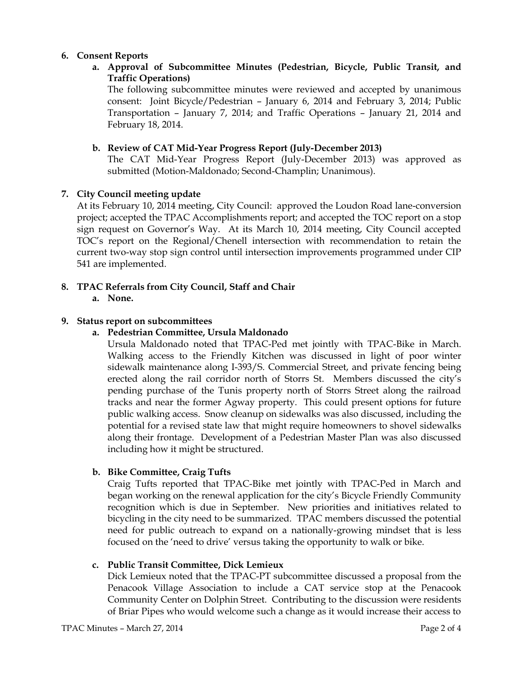## **6. Consent Reports**

**a. Approval of Subcommittee Minutes (Pedestrian, Bicycle, Public Transit, and Traffic Operations)**

The following subcommittee minutes were reviewed and accepted by unanimous consent: Joint Bicycle/Pedestrian – January 6, 2014 and February 3, 2014; Public Transportation – January 7, 2014; and Traffic Operations – January 21, 2014 and February 18, 2014.

### **b. Review of CAT Mid-Year Progress Report (July-December 2013)**

The CAT Mid-Year Progress Report (July-December 2013) was approved as submitted (Motion-Maldonado; Second-Champlin; Unanimous).

### **7. City Council meeting update**

At its February 10, 2014 meeting, City Council: approved the Loudon Road lane-conversion project; accepted the TPAC Accomplishments report; and accepted the TOC report on a stop sign request on Governor's Way. At its March 10, 2014 meeting, City Council accepted TOC's report on the Regional/Chenell intersection with recommendation to retain the current two-way stop sign control until intersection improvements programmed under CIP 541 are implemented.

- **8. TPAC Referrals from City Council, Staff and Chair**
	- **a. None.**

### **9. Status report on subcommittees**

**a. Pedestrian Committee, Ursula Maldonado**

Ursula Maldonado noted that TPAC-Ped met jointly with TPAC-Bike in March. Walking access to the Friendly Kitchen was discussed in light of poor winter sidewalk maintenance along I-393/S. Commercial Street, and private fencing being erected along the rail corridor north of Storrs St. Members discussed the city's pending purchase of the Tunis property north of Storrs Street along the railroad tracks and near the former Agway property. This could present options for future public walking access. Snow cleanup on sidewalks was also discussed, including the potential for a revised state law that might require homeowners to shovel sidewalks along their frontage. Development of a Pedestrian Master Plan was also discussed including how it might be structured.

### **b. Bike Committee, Craig Tufts**

Craig Tufts reported that TPAC-Bike met jointly with TPAC-Ped in March and began working on the renewal application for the city's Bicycle Friendly Community recognition which is due in September. New priorities and initiatives related to bicycling in the city need to be summarized. TPAC members discussed the potential need for public outreach to expand on a nationally-growing mindset that is less focused on the 'need to drive' versus taking the opportunity to walk or bike.

### **c. Public Transit Committee, Dick Lemieux**

Dick Lemieux noted that the TPAC-PT subcommittee discussed a proposal from the Penacook Village Association to include a CAT service stop at the Penacook Community Center on Dolphin Street. Contributing to the discussion were residents of Briar Pipes who would welcome such a change as it would increase their access to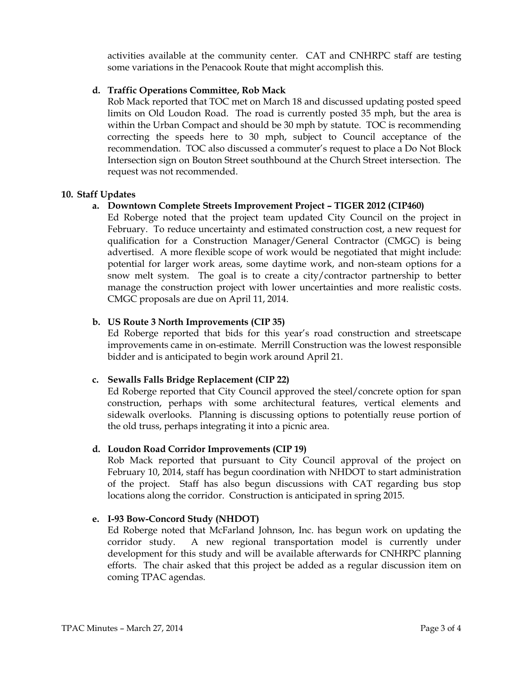activities available at the community center. CAT and CNHRPC staff are testing some variations in the Penacook Route that might accomplish this.

### **d. Traffic Operations Committee, Rob Mack**

Rob Mack reported that TOC met on March 18 and discussed updating posted speed limits on Old Loudon Road. The road is currently posted 35 mph, but the area is within the Urban Compact and should be 30 mph by statute. TOC is recommending correcting the speeds here to 30 mph, subject to Council acceptance of the recommendation. TOC also discussed a commuter's request to place a Do Not Block Intersection sign on Bouton Street southbound at the Church Street intersection. The request was not recommended.

### **10. Staff Updates**

## **a. Downtown Complete Streets Improvement Project – TIGER 2012 (CIP460)**

Ed Roberge noted that the project team updated City Council on the project in February. To reduce uncertainty and estimated construction cost, a new request for qualification for a Construction Manager/General Contractor (CMGC) is being advertised. A more flexible scope of work would be negotiated that might include: potential for larger work areas, some daytime work, and non-steam options for a snow melt system. The goal is to create a city/contractor partnership to better manage the construction project with lower uncertainties and more realistic costs. CMGC proposals are due on April 11, 2014.

### **b. US Route 3 North Improvements (CIP 35)**

Ed Roberge reported that bids for this year's road construction and streetscape improvements came in on-estimate. Merrill Construction was the lowest responsible bidder and is anticipated to begin work around April 21.

## **c. Sewalls Falls Bridge Replacement (CIP 22)**

Ed Roberge reported that City Council approved the steel/concrete option for span construction, perhaps with some architectural features, vertical elements and sidewalk overlooks. Planning is discussing options to potentially reuse portion of the old truss, perhaps integrating it into a picnic area.

### **d. Loudon Road Corridor Improvements (CIP 19)**

Rob Mack reported that pursuant to City Council approval of the project on February 10, 2014, staff has begun coordination with NHDOT to start administration of the project. Staff has also begun discussions with CAT regarding bus stop locations along the corridor. Construction is anticipated in spring 2015.

## **e. I-93 Bow-Concord Study (NHDOT)**

Ed Roberge noted that McFarland Johnson, Inc. has begun work on updating the corridor study. A new regional transportation model is currently under development for this study and will be available afterwards for CNHRPC planning efforts. The chair asked that this project be added as a regular discussion item on coming TPAC agendas.